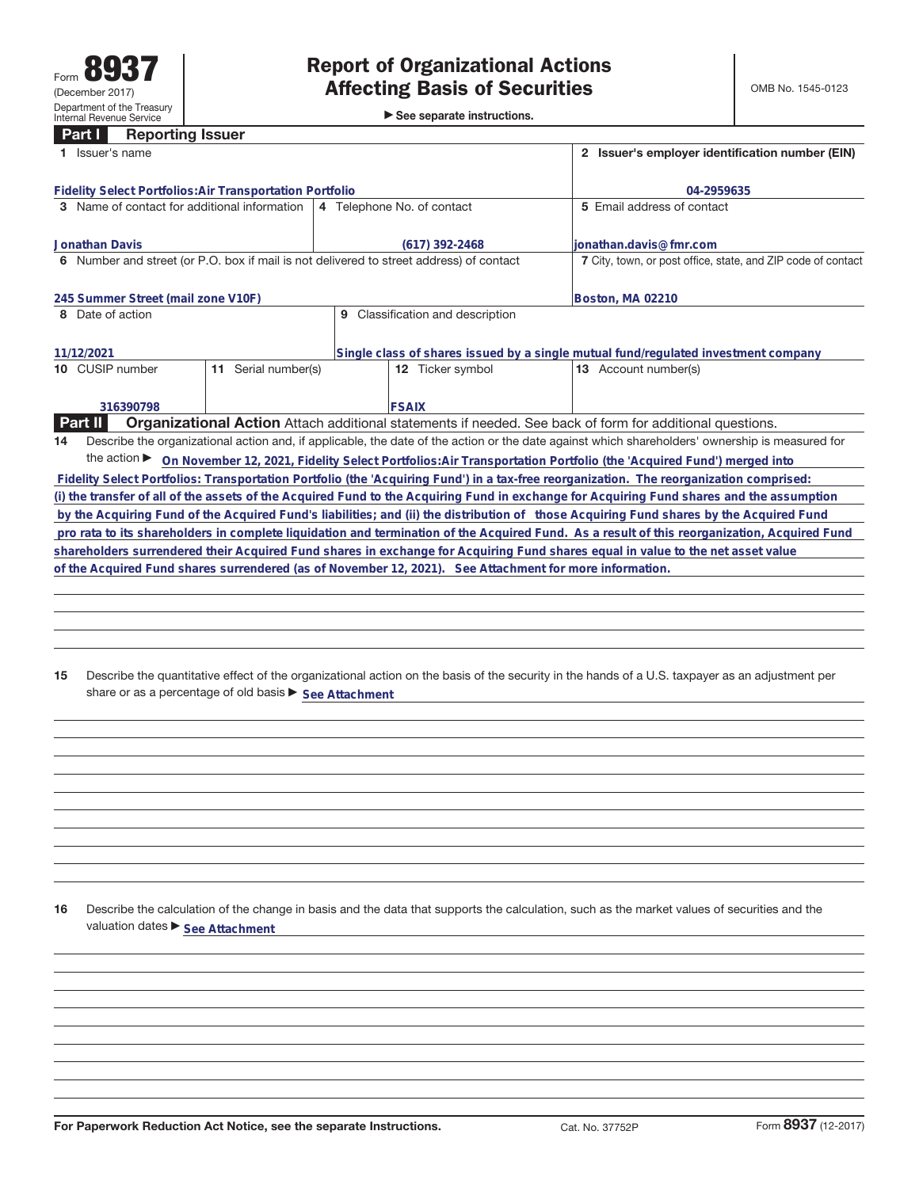# **Part I Reporting Issuer**

|                                                                                                                                              | 1 Issuer's name                                                                                                                                 |                     | 2 Issuer's employer identification number (EIN) |                                                                                    |                                                                                                                                           |  |  |  |
|----------------------------------------------------------------------------------------------------------------------------------------------|-------------------------------------------------------------------------------------------------------------------------------------------------|---------------------|-------------------------------------------------|------------------------------------------------------------------------------------|-------------------------------------------------------------------------------------------------------------------------------------------|--|--|--|
|                                                                                                                                              | <b>Fidelity Select Portfolios: Air Transportation Portfolio</b>                                                                                 |                     | 04-2959635                                      |                                                                                    |                                                                                                                                           |  |  |  |
|                                                                                                                                              | 3 Name of contact for additional information                                                                                                    |                     |                                                 | 4 Telephone No. of contact                                                         | 5 Email address of contact                                                                                                                |  |  |  |
|                                                                                                                                              | Jonathan Davis                                                                                                                                  |                     |                                                 | $(617)$ 392-2468                                                                   | ionathan.davis@fmr.com                                                                                                                    |  |  |  |
| 6 Number and street (or P.O. box if mail is not delivered to street address) of contact                                                      |                                                                                                                                                 |                     |                                                 |                                                                                    | 7 City, town, or post office, state, and ZIP code of contact                                                                              |  |  |  |
|                                                                                                                                              | 245 Summer Street (mail zone V10F)                                                                                                              |                     |                                                 |                                                                                    | Boston, MA 02210                                                                                                                          |  |  |  |
| 8 Date of action                                                                                                                             |                                                                                                                                                 |                     | 9                                               | Classification and description                                                     |                                                                                                                                           |  |  |  |
|                                                                                                                                              | 11/12/2021                                                                                                                                      |                     |                                                 | Single class of shares issued by a single mutual fund/regulated investment company |                                                                                                                                           |  |  |  |
|                                                                                                                                              | 10 CUSIP number                                                                                                                                 | 11 Serial number(s) |                                                 | 12 Ticker symbol                                                                   | 13 Account number(s)                                                                                                                      |  |  |  |
|                                                                                                                                              | 316390798                                                                                                                                       |                     |                                                 | <b>FSAIX</b>                                                                       |                                                                                                                                           |  |  |  |
|                                                                                                                                              | Part II                                                                                                                                         |                     |                                                 |                                                                                    | <b>Organizational Action</b> Attach additional statements if needed. See back of form for additional questions.                           |  |  |  |
| 14                                                                                                                                           | Describe the organizational action and, if applicable, the date of the action or the date against which shareholders' ownership is measured for |                     |                                                 |                                                                                    |                                                                                                                                           |  |  |  |
|                                                                                                                                              |                                                                                                                                                 |                     |                                                 |                                                                                    | the action > On November 12, 2021, Fidelity Select Portfolios: Air Transportation Portfolio (the 'Acquired Fund') merged into             |  |  |  |
|                                                                                                                                              |                                                                                                                                                 |                     |                                                 |                                                                                    | Fidelity Select Portfolios: Transportation Portfolio (the 'Acquiring Fund') in a tax-free reorganization. The reorganization comprised:   |  |  |  |
|                                                                                                                                              |                                                                                                                                                 |                     |                                                 |                                                                                    | (i) the transfer of all of the assets of the Acquired Fund to the Acquiring Fund in exchange for Acquiring Fund shares and the assumption |  |  |  |
|                                                                                                                                              |                                                                                                                                                 |                     |                                                 |                                                                                    | by the Acquiring Fund of the Acquired Fund's liabilities; and (ii) the distribution of those Acquiring Fund shares by the Acquired Fund   |  |  |  |
| pro rata to its shareholders in complete liquidation and termination of the Acquired Fund. As a result of this reorganization, Acquired Fund |                                                                                                                                                 |                     |                                                 |                                                                                    |                                                                                                                                           |  |  |  |
| shareholders surrendered their Acquired Fund shares in exchange for Acquiring Fund shares equal in value to the net asset value              |                                                                                                                                                 |                     |                                                 |                                                                                    |                                                                                                                                           |  |  |  |
| of the Acquired Fund shares surrendered (as of November 12, 2021). See Attachment for more information.                                      |                                                                                                                                                 |                     |                                                 |                                                                                    |                                                                                                                                           |  |  |  |
|                                                                                                                                              |                                                                                                                                                 |                     |                                                 |                                                                                    |                                                                                                                                           |  |  |  |
|                                                                                                                                              |                                                                                                                                                 |                     |                                                 |                                                                                    |                                                                                                                                           |  |  |  |

**15** Describe the quantitative effect of the organizational action on the basis of the security in the hands of a U.S. taxpayer as an adjustment per share or as a percentage of old basis  $\blacktriangleright$  See Attachment

**16** Describe the calculation of the change in basis and the data that supports the calculation, such as the market values of securities and the valuation dates  $\blacktriangleright$  **See Attachment**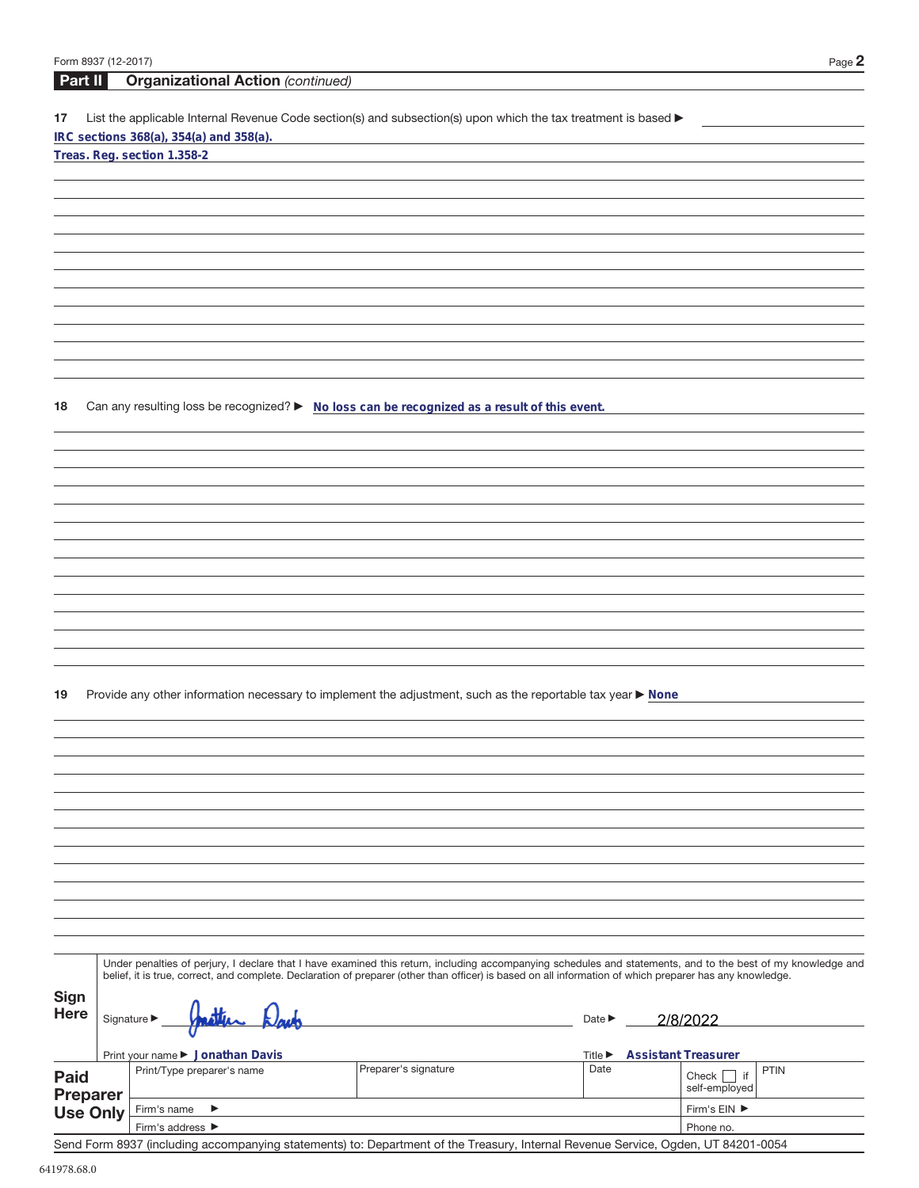| Form 8937 (12-2017) |                 |                                                                                                                                                              |                      |                             | Page 2                                |
|---------------------|-----------------|--------------------------------------------------------------------------------------------------------------------------------------------------------------|----------------------|-----------------------------|---------------------------------------|
| Part II             |                 | <b>Organizational Action (continued)</b>                                                                                                                     |                      |                             |                                       |
|                     |                 |                                                                                                                                                              |                      |                             |                                       |
| 17                  |                 | List the applicable Internal Revenue Code section(s) and subsection(s) upon which the tax treatment is based ▶<br>IRC sections 368(a), 354(a) and 358(a).    |                      |                             |                                       |
|                     |                 | Treas. Reg. section 1.358-2                                                                                                                                  |                      |                             |                                       |
|                     |                 |                                                                                                                                                              |                      |                             |                                       |
|                     |                 |                                                                                                                                                              |                      |                             |                                       |
|                     |                 |                                                                                                                                                              |                      |                             |                                       |
|                     |                 |                                                                                                                                                              |                      |                             |                                       |
|                     |                 |                                                                                                                                                              |                      |                             |                                       |
|                     |                 |                                                                                                                                                              |                      |                             |                                       |
|                     |                 |                                                                                                                                                              |                      |                             |                                       |
|                     |                 |                                                                                                                                                              |                      |                             |                                       |
|                     |                 |                                                                                                                                                              |                      |                             |                                       |
|                     |                 |                                                                                                                                                              |                      |                             |                                       |
|                     |                 |                                                                                                                                                              |                      |                             |                                       |
|                     |                 |                                                                                                                                                              |                      |                             |                                       |
| 18                  |                 | Can any resulting loss be recognized? ► No loss can be recognized as a result of this event.                                                                 |                      |                             |                                       |
|                     |                 |                                                                                                                                                              |                      |                             |                                       |
|                     |                 |                                                                                                                                                              |                      |                             |                                       |
|                     |                 |                                                                                                                                                              |                      |                             |                                       |
|                     |                 |                                                                                                                                                              |                      |                             |                                       |
|                     |                 |                                                                                                                                                              |                      |                             |                                       |
|                     |                 |                                                                                                                                                              |                      |                             |                                       |
|                     |                 |                                                                                                                                                              |                      |                             |                                       |
|                     |                 |                                                                                                                                                              |                      |                             |                                       |
|                     |                 |                                                                                                                                                              |                      |                             |                                       |
|                     |                 |                                                                                                                                                              |                      |                             |                                       |
|                     |                 |                                                                                                                                                              |                      |                             |                                       |
|                     |                 |                                                                                                                                                              |                      |                             |                                       |
|                     |                 |                                                                                                                                                              |                      |                             |                                       |
| 19                  |                 | Provide any other information necessary to implement the adjustment, such as the reportable tax year ▶ None                                                  |                      |                             |                                       |
|                     |                 |                                                                                                                                                              |                      |                             |                                       |
|                     |                 |                                                                                                                                                              |                      |                             |                                       |
|                     |                 |                                                                                                                                                              |                      |                             |                                       |
|                     |                 |                                                                                                                                                              |                      |                             |                                       |
|                     |                 |                                                                                                                                                              |                      |                             |                                       |
|                     |                 |                                                                                                                                                              |                      |                             |                                       |
|                     |                 |                                                                                                                                                              |                      |                             |                                       |
|                     |                 |                                                                                                                                                              |                      |                             |                                       |
|                     |                 |                                                                                                                                                              |                      |                             |                                       |
|                     |                 |                                                                                                                                                              |                      |                             |                                       |
|                     |                 |                                                                                                                                                              |                      |                             |                                       |
|                     |                 |                                                                                                                                                              |                      |                             |                                       |
|                     |                 | Under penalties of perjury, I declare that I have examined this return, including accompanying schedules and statements, and to the best of my knowledge and |                      |                             |                                       |
|                     |                 | belief, it is true, correct, and complete. Declaration of preparer (other than officer) is based on all information of which preparer has any knowledge.     |                      |                             |                                       |
| <b>Sign</b>         |                 |                                                                                                                                                              |                      |                             |                                       |
| <b>Here</b>         |                 | Signature $\blacktriangleright$                                                                                                                              |                      | Date $\blacktriangleright$  | 2/8/2022                              |
|                     |                 |                                                                                                                                                              |                      |                             |                                       |
|                     |                 | Print your name ▶ Jonathan Davis                                                                                                                             |                      | Title $\blacktriangleright$ | <b>Assistant Treasurer</b>            |
| <b>Paid</b>         |                 | Print/Type preparer's name                                                                                                                                   | Preparer's signature | Date                        | <b>PTIN</b><br>Check $\vert \vert$ if |
|                     | <b>Preparer</b> |                                                                                                                                                              |                      |                             | self-employed                         |
| <b>Use Only</b>     |                 | Firm's name<br>▶                                                                                                                                             |                      |                             | Firm's EIN ▶                          |
|                     |                 | Firm's address ▶                                                                                                                                             |                      |                             | Phone no.                             |

Send Form 8937 (including accompanying statements) to: Department of the Treasury, Internal Revenue Service, Ogden, UT 84201-0054